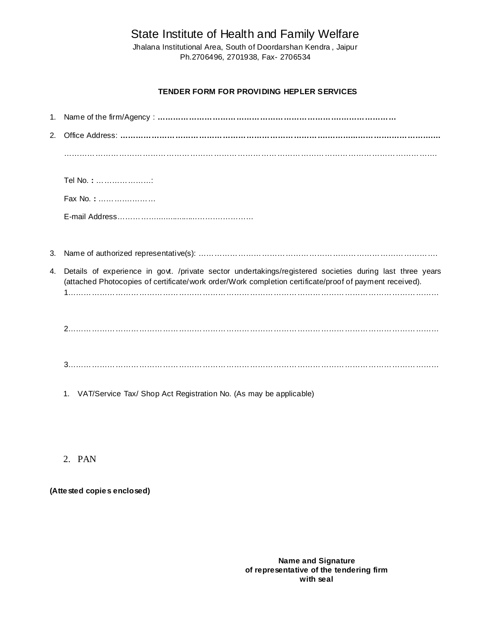State Institute of Health and Family Welfare

Jhalana Institutional Area, South of Doordarshan Kendra , Jaipur Ph.2706496, 2701938, Fax- 2706534

### **TENDER FORM FOR PROVIDING HEPLER SERVICES**

| 2. |                                                                                                                                                                                                                     |  |  |
|----|---------------------------------------------------------------------------------------------------------------------------------------------------------------------------------------------------------------------|--|--|
|    |                                                                                                                                                                                                                     |  |  |
|    | Tel No.: :                                                                                                                                                                                                          |  |  |
|    | Fax No.:                                                                                                                                                                                                            |  |  |
|    |                                                                                                                                                                                                                     |  |  |
|    |                                                                                                                                                                                                                     |  |  |
| 3. |                                                                                                                                                                                                                     |  |  |
| 4. | Details of experience in govt. /private sector undertakings/registered societies during last three years<br>(attached Photocopies of certificate/work order/Work completion certificate/proof of payment received). |  |  |
|    |                                                                                                                                                                                                                     |  |  |
|    |                                                                                                                                                                                                                     |  |  |
|    |                                                                                                                                                                                                                     |  |  |
|    |                                                                                                                                                                                                                     |  |  |
|    |                                                                                                                                                                                                                     |  |  |
|    | VAT/Service Tax/ Shop Act Registration No. (As may be applicable)<br>1.                                                                                                                                             |  |  |

# 2. PAN

**(Attested copies enclosed)**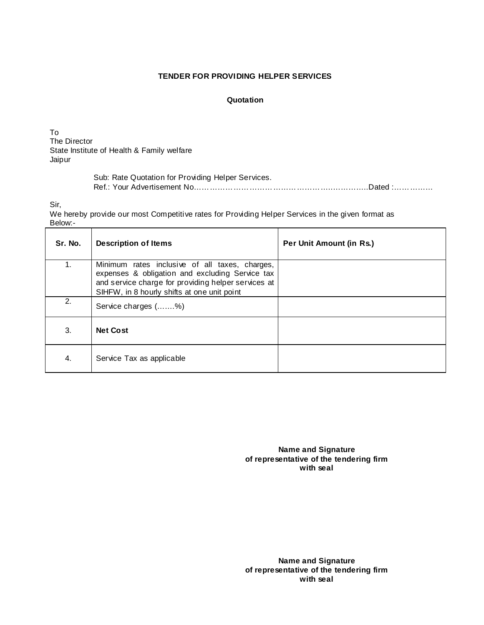#### **TENDER FOR PROVIDING HELPER SERVICES**

#### **Quotation**

To The Director State Institute of Health & Family welfare Jaipur

> Sub: Rate Quotation for Providing Helper Services. Ref.: Your Advertisement No……………………………………………..…………..Dated :……………

Sir,

We hereby provide our most Competitive rates for Providing Helper Services in the given format as Below:-

| Sr. No. | <b>Description of Items</b>                                                                                                                                                                             | Per Unit Amount (in Rs.) |
|---------|---------------------------------------------------------------------------------------------------------------------------------------------------------------------------------------------------------|--------------------------|
| 1.      | Minimum rates inclusive of all taxes, charges,<br>expenses & obligation and excluding Service tax<br>and service charge for providing helper services at<br>SIHFW, in 8 hourly shifts at one unit point |                          |
| 2.      | Service charges (%)                                                                                                                                                                                     |                          |
| 3.      | <b>Net Cost</b>                                                                                                                                                                                         |                          |
| 4.      | Service Tax as applicable                                                                                                                                                                               |                          |

**Name and Signature of representative of the tendering firm with seal**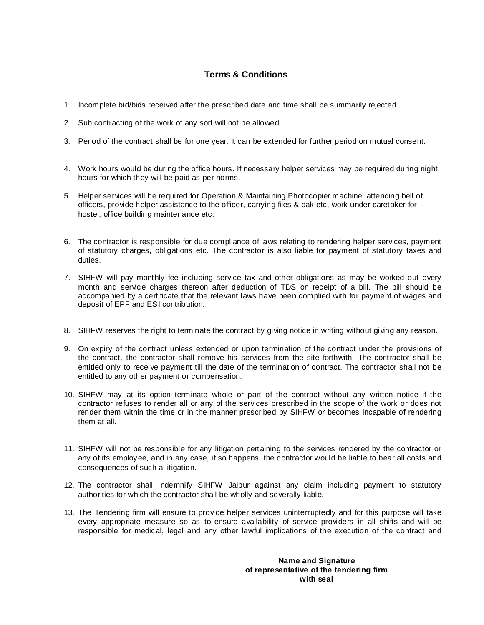## **Terms & Conditions**

- 1. Incomplete bid/bids received after the prescribed date and time shall be summarily rejected.
- 2. Sub contracting of the work of any sort will not be allowed.
- 3. Period of the contract shall be for one year. It can be extended for further period on mutual consent.
- 4. Work hours would be during the office hours. If necessary helper services may be required during night hours for which they will be paid as per norms.
- 5. Helper services will be required for Operation & Maintaining Photocopier machine, attending bell of officers, provide helper assistance to the officer, carrying files & dak etc, work under caretaker for hostel, office building maintenance etc.
- 6. The contractor is responsible for due compliance of laws relating to rendering helper services, payment of statutory charges, obligations etc. The contractor is also liable for payment of statutory taxes and duties.
- 7. SIHFW will pay monthly fee including service tax and other obligations as may be worked out every month and service charges thereon after deduction of TDS on receipt of a bill. The bill should be accompanied by a certificate that the relevant laws have been complied with for payment of wages and deposit of EPF and ESI contribution.
- 8. SIHFW reserves the right to terminate the contract by giving notice in writing without giving any reason.
- 9. On expiry of the contract unless extended or upon termination of the contract under the provisions of the contract, the contractor shall remove his services from the site forthwith. The contractor shall be entitled only to receive payment till the date of the termination of contract. The contractor shall not be entitled to any other payment or compensation.
- 10. SIHFW may at its option terminate whole or part of the contract without any written notice if the contractor refuses to render all or any of the services prescribed in the scope of the work or does not render them within the time or in the manner prescribed by SIHFW or becomes incapable of rendering them at all.
- 11. SIHFW will not be responsible for any litigation pertaining to the services rendered by the contractor or any of its employee, and in any case, if so happens, the contractor would be liable to bear all costs and consequences of such a litigation.
- 12. The contractor shall indemnify SIHFW Jaipur against any claim including payment to statutory authorities for which the contractor shall be wholly and severally liable.
- 13. The Tendering firm will ensure to provide helper services uninterruptedly and for this purpose will take every appropriate measure so as to ensure availability of service providers in all shifts and will be responsible for medical, legal and any other lawful implications of the execution of the contract and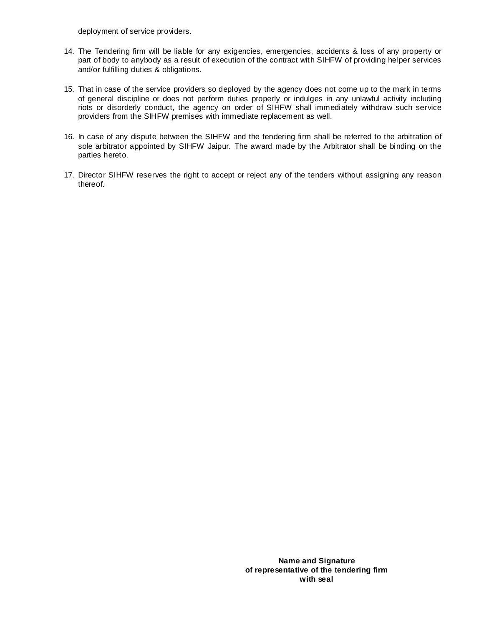deployment of service providers.

- 14. The Tendering firm will be liable for any exigencies, emergencies, accidents & loss of any property or part of body to anybody as a result of execution of the contract with SIHFW of providing helper services and/or fulfilling duties & obligations.
- 15. That in case of the service providers so deployed by the agency does not come up to the mark in terms of general discipline or does not perform duties properly or indulges in any unlawful activity including riots or disorderly conduct, the agency on order of SIHFW shall immediately withdraw such service providers from the SIHFW premises with immediate replacement as well.
- 16. In case of any dispute between the SIHFW and the tendering firm shall be referred to the arbitration of sole arbitrator appointed by SIHFW Jaipur. The award made by the Arbitrator shall be binding on the parties hereto.
- 17. Director SIHFW reserves the right to accept or reject any of the tenders without assigning any reason thereof.